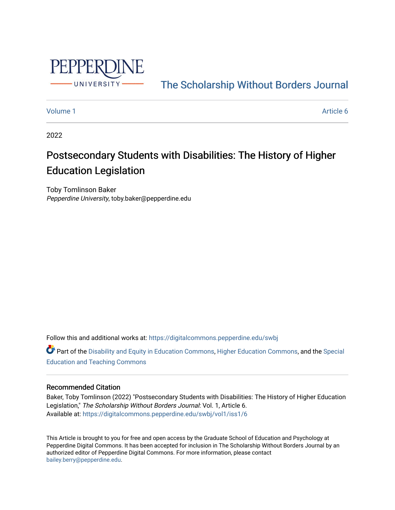

[The Scholarship Without Borders Journal](https://digitalcommons.pepperdine.edu/swbj) 

#### [Volume 1](https://digitalcommons.pepperdine.edu/swbj/vol1) Article 6

2022

# Postsecondary Students with Disabilities: The History of Higher Education Legislation

Toby Tomlinson Baker Pepperdine University, toby.baker@pepperdine.edu

Follow this and additional works at: [https://digitalcommons.pepperdine.edu/swbj](https://digitalcommons.pepperdine.edu/swbj?utm_source=digitalcommons.pepperdine.edu%2Fswbj%2Fvol1%2Fiss1%2F6&utm_medium=PDF&utm_campaign=PDFCoverPages)

Part of the [Disability and Equity in Education Commons](https://network.bepress.com/hgg/discipline/1040?utm_source=digitalcommons.pepperdine.edu%2Fswbj%2Fvol1%2Fiss1%2F6&utm_medium=PDF&utm_campaign=PDFCoverPages), [Higher Education Commons](https://network.bepress.com/hgg/discipline/1245?utm_source=digitalcommons.pepperdine.edu%2Fswbj%2Fvol1%2Fiss1%2F6&utm_medium=PDF&utm_campaign=PDFCoverPages), and the [Special](https://network.bepress.com/hgg/discipline/801?utm_source=digitalcommons.pepperdine.edu%2Fswbj%2Fvol1%2Fiss1%2F6&utm_medium=PDF&utm_campaign=PDFCoverPages)  [Education and Teaching Commons](https://network.bepress.com/hgg/discipline/801?utm_source=digitalcommons.pepperdine.edu%2Fswbj%2Fvol1%2Fiss1%2F6&utm_medium=PDF&utm_campaign=PDFCoverPages) 

### Recommended Citation

Baker, Toby Tomlinson (2022) "Postsecondary Students with Disabilities: The History of Higher Education Legislation," The Scholarship Without Borders Journal: Vol. 1, Article 6. Available at: [https://digitalcommons.pepperdine.edu/swbj/vol1/iss1/6](https://digitalcommons.pepperdine.edu/swbj/vol1/iss1/6?utm_source=digitalcommons.pepperdine.edu%2Fswbj%2Fvol1%2Fiss1%2F6&utm_medium=PDF&utm_campaign=PDFCoverPages) 

This Article is brought to you for free and open access by the Graduate School of Education and Psychology at Pepperdine Digital Commons. It has been accepted for inclusion in The Scholarship Without Borders Journal by an authorized editor of Pepperdine Digital Commons. For more information, please contact [bailey.berry@pepperdine.edu](mailto:bailey.berry@pepperdine.edu).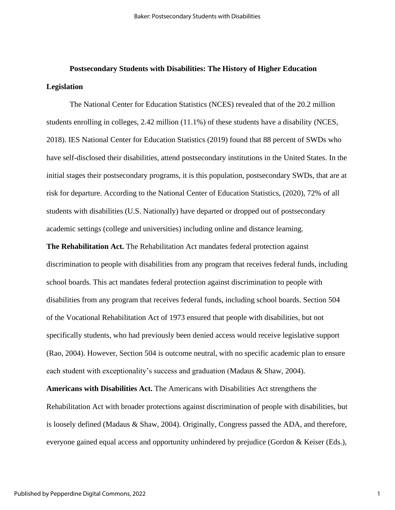# **Postsecondary Students with Disabilities: The History of Higher Education Legislation**

The National Center for Education Statistics (NCES) revealed that of the 20.2 million students enrolling in colleges, 2.42 million (11.1%) of these students have a disability (NCES, 2018). IES National Center for Education Statistics (2019) found that 88 percent of SWDs who have self-disclosed their disabilities, attend postsecondary institutions in the United States. In the initial stages their postsecondary programs, it is this population, postsecondary SWDs, that are at risk for departure. According to the National Center of Education Statistics, (2020), 72% of all students with disabilities (U.S. Nationally) have departed or dropped out of postsecondary academic settings (college and universities) including online and distance learning.

**The Rehabilitation Act.** The Rehabilitation Act mandates federal protection against discrimination to people with disabilities from any program that receives federal funds, including school boards. This act mandates federal protection against discrimination to people with disabilities from any program that receives federal funds, including school boards. Section 504 of the Vocational Rehabilitation Act of 1973 ensured that people with disabilities, but not specifically students, who had previously been denied access would receive legislative support (Rao, 2004). However, Section 504 is outcome neutral, with no specific academic plan to ensure each student with exceptionality's success and graduation (Madaus & Shaw, 2004).

**Americans with Disabilities Act.** The Americans with Disabilities Act strengthens the Rehabilitation Act with broader protections against discrimination of people with disabilities, but is loosely defined (Madaus & Shaw, 2004). Originally, Congress passed the ADA, and therefore, everyone gained equal access and opportunity unhindered by prejudice (Gordon & Keiser (Eds.),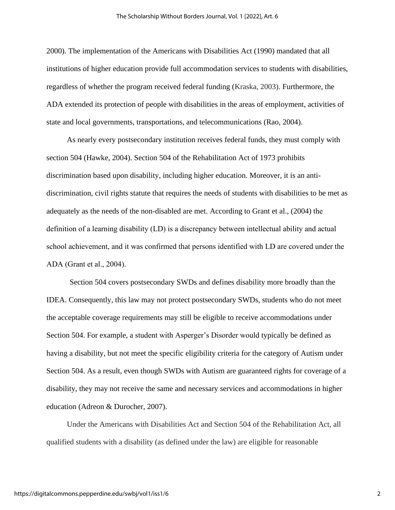2000). The implementation of the Americans with Disabilities Act (1990) mandated that all institutions of higher education provide full accommodation services to students with disabilities, regardless of whether the program received federal funding (Kraska, 2003). Furthermore, the ADA extended its protection of people with disabilities in the areas of employment, activities of state and local governments, transportations, and telecommunications (Rao, 2004).

As nearly every postsecondary institution receives federal funds, they must comply with section 504 (Hawke, 2004). Section 504 of the Rehabilitation Act of 1973 prohibits discrimination based upon disability, including higher education. Moreover, it is an antidiscrimination, civil rights statute that requires the needs of students with disabilities to be met as adequately as the needs of the non-disabled are met. According to Grant et al., (2004) the definition of a learning disability (LD) is a discrepancy between intellectual ability and actual school achievement, and it was confirmed that persons identified with LD are covered under the ADA (Grant et al., 2004).

Section 504 covers postsecondary SWDs and defines disability more broadly than the IDEA. Consequently, this law may not protect postsecondary SWDs, students who do not meet the acceptable coverage requirements may still be eligible to receive accommodations under Section 504. For example, a student with Asperger's Disorder would typically be defined as having a disability, but not meet the specific eligibility criteria for the category of Autism under Section 504. As a result, even though SWDs with Autism are guaranteed rights for coverage of a disability, they may not receive the same and necessary services and accommodations in higher education (Adreon & Durocher, 2007).

Under the Americans with Disabilities Act and Section 504 of the Rehabilitation Act, all qualified students with a disability (as defined under the law) are eligible for reasonable

2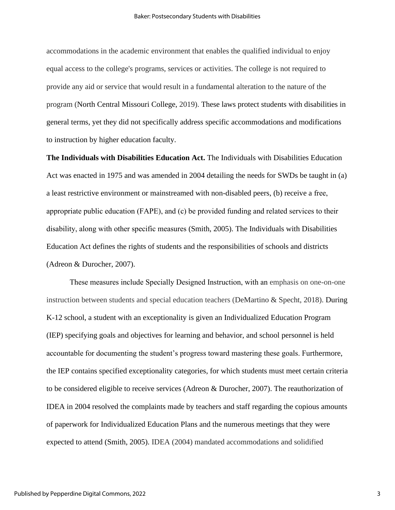accommodations in the academic environment that enables the qualified individual to enjoy equal access to the college's programs, services or activities. The college is not required to provide any aid or service that would result in a fundamental alteration to the nature of the program (North Central Missouri College, 2019). These laws protect students with disabilities in general terms, yet they did not specifically address specific accommodations and modifications to instruction by higher education faculty.

**The Individuals with Disabilities Education Act.** The Individuals with Disabilities Education Act was enacted in 1975 and was amended in 2004 detailing the needs for SWDs be taught in (a) a least restrictive environment or mainstreamed with non-disabled peers, (b) receive a free, appropriate public education (FAPE), and (c) be provided funding and related services to their disability, along with other specific measures (Smith, 2005). The Individuals with Disabilities Education Act defines the rights of students and the responsibilities of schools and districts (Adreon & Durocher, 2007).

These measures include Specially Designed Instruction, with an emphasis on one-on-one instruction between students and special education teachers (DeMartino & Specht, 2018). During K-12 school, a student with an exceptionality is given an Individualized Education Program (IEP) specifying goals and objectives for learning and behavior, and school personnel is held accountable for documenting the student's progress toward mastering these goals. Furthermore, the IEP contains specified exceptionality categories, for which students must meet certain criteria to be considered eligible to receive services (Adreon & Durocher, 2007). The reauthorization of IDEA in 2004 resolved the complaints made by teachers and staff regarding the copious amounts of paperwork for Individualized Education Plans and the numerous meetings that they were expected to attend (Smith, 2005). IDEA (2004) mandated accommodations and solidified

3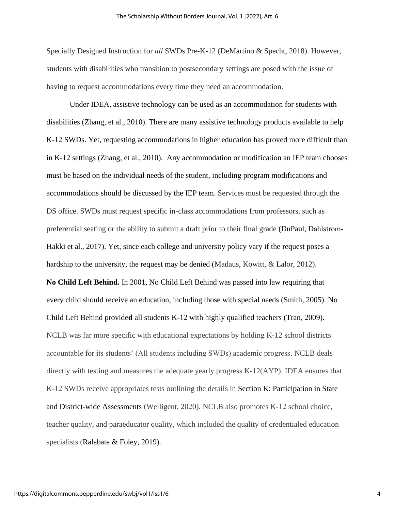Specially Designed Instruction for *all* SWDs Pre-K-12 (DeMartino & Specht, 2018). However, students with disabilities who transition to postsecondary settings are posed with the issue of having to request accommodations every time they need an accommodation.

Under IDEA, assistive technology can be used as an accommodation for students with disabilities (Zhang, et al., 2010). There are many assistive technology products available to help K-12 SWDs. Yet, requesting accommodations in higher education has proved more difficult than in K-12 settings (Zhang, et al., 2010). Any accommodation or modification an IEP team chooses must be based on the individual needs of the student, including program modifications and accommodations should be discussed by the IEP team. Services must be requested through the DS office. SWDs must request specific in-class accommodations from professors, such as preferential seating or the ability to submit a draft prior to their final grade (DuPaul, Dahlstrom‐ Hakki et al., 2017). Yet, since each college and university policy vary if the request poses a hardship to the university, the request may be denied (Madaus, Kowitt, & Lalor, 2012). **No Child Left Behind.** In 2001, No Child Left Behind was passed into law requiring that every child should receive an education, including those with special needs (Smith, 2005). No Child Left Behind provide**d** all students K-12 with highly qualified teachers (Tran, 2009). NCLB was far more specific with educational expectations by holding K-12 school districts accountable for its students' (All students including SWDs) academic progress. NCLB deals directly with testing and measures the adequate yearly progress K-12(AYP). IDEA ensures that K-12 SWDs receive appropriates tests outlining the details in Section K: Participation in State and District-wide Assessments (Welligent, 2020). NCLB also promotes K-12 school choice, teacher quality, and paraeducator quality, which included the quality of credentialed education specialists (Ralabate & Foley, 2019).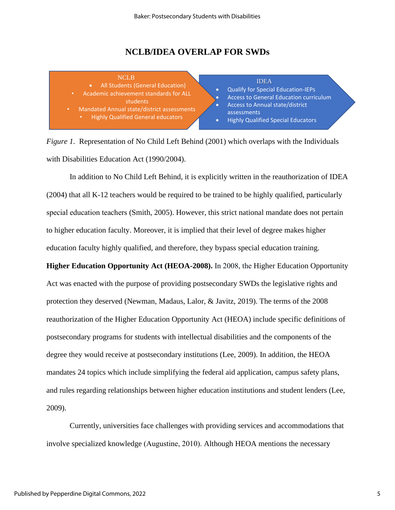## **NCLB/IDEA OVERLAP FOR SWDs**



*Figure 1.* Representation of No Child Left Behind (2001) which overlaps with the Individuals with Disabilities Education Act (1990/2004).

In addition to No Child Left Behind, it is explicitly written in the reauthorization of IDEA (2004) that all K-12 teachers would be required to be trained to be highly qualified, particularly special education teachers (Smith, 2005). However, this strict national mandate does not pertain to higher education faculty. Moreover, it is implied that their level of degree makes higher education faculty highly qualified, and therefore, they bypass special education training. **Higher Education Opportunity Act (HEOA-2008).** In 2008, the Higher Education Opportunity

Act was enacted with the purpose of providing postsecondary SWDs the legislative rights and protection they deserved (Newman, Madaus, Lalor, & Javitz, 2019). The terms of the 2008 reauthorization of the Higher Education Opportunity Act (HEOA) include specific definitions of postsecondary programs for students with intellectual disabilities and the components of the degree they would receive at postsecondary institutions (Lee, 2009). In addition, the HEOA mandates 24 topics which include simplifying the federal aid application, campus safety plans, and rules regarding relationships between higher education institutions and student lenders (Lee, 2009).

Currently, universities face challenges with providing services and accommodations that involve specialized knowledge (Augustine, 2010). Although HEOA mentions the necessary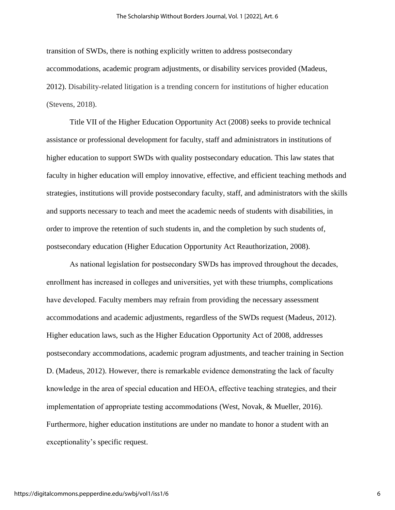transition of SWDs, there is nothing explicitly written to address postsecondary accommodations, academic program adjustments, or disability services provided (Madeus, 2012). Disability-related litigation is a trending concern for institutions of higher education (Stevens, 2018).

Title VII of the Higher Education Opportunity Act (2008) seeks to provide technical assistance or professional development for faculty, staff and administrators in institutions of higher education to support SWDs with quality postsecondary education. This law states that faculty in higher education will employ innovative, effective, and efficient teaching methods and strategies, institutions will provide postsecondary faculty, staff, and administrators with the skills and supports necessary to teach and meet the academic needs of students with disabilities, in order to improve the retention of such students in, and the completion by such students of, postsecondary education (Higher Education Opportunity Act Reauthorization, 2008).

As national legislation for postsecondary SWDs has improved throughout the decades, enrollment has increased in colleges and universities, yet with these triumphs, complications have developed. Faculty members may refrain from providing the necessary assessment accommodations and academic adjustments, regardless of the SWDs request (Madeus, 2012). Higher education laws, such as the Higher Education Opportunity Act of 2008, addresses postsecondary accommodations, academic program adjustments, and teacher training in Section D. (Madeus, 2012). However, there is remarkable evidence demonstrating the lack of faculty knowledge in the area of special education and HEOA, effective teaching strategies, and their implementation of appropriate testing accommodations (West, Novak, & Mueller, 2016). Furthermore, higher education institutions are under no mandate to honor a student with an exceptionality's specific request.

6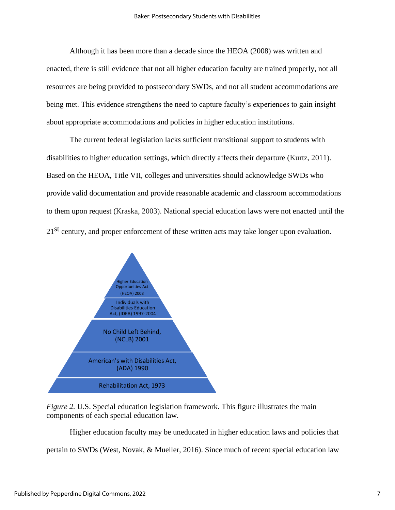Although it has been more than a decade since the HEOA (2008) was written and enacted, there is still evidence that not all higher education faculty are trained properly, not all resources are being provided to postsecondary SWDs, and not all student accommodations are being met. This evidence strengthens the need to capture faculty's experiences to gain insight about appropriate accommodations and policies in higher education institutions.

The current federal legislation lacks sufficient transitional support to students with disabilities to higher education settings, which directly affects their departure (Kurtz, 2011). Based on the HEOA, Title VII, colleges and universities should acknowledge SWDs who provide valid documentation and provide reasonable academic and classroom accommodations to them upon request (Kraska, 2003). National special education laws were not enacted until the 21<sup>st</sup> century, and proper enforcement of these written acts may take longer upon evaluation.



*Figure 2. U.S.* Special education legislation framework. This figure illustrates the main components of each special education law.

Higher education faculty may be uneducated in higher education laws and policies that pertain to SWDs (West, Novak, & Mueller, 2016). Since much of recent special education law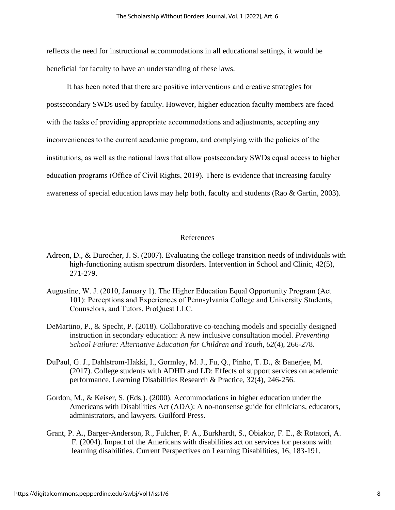reflects the need for instructional accommodations in all educational settings, it would be beneficial for faculty to have an understanding of these laws.

It has been noted that there are positive interventions and creative strategies for postsecondary SWDs used by faculty. However, higher education faculty members are faced with the tasks of providing appropriate accommodations and adjustments, accepting any inconveniences to the current academic program, and complying with the policies of the institutions, as well as the national laws that allow postsecondary SWDs equal access to higher education programs (Office of Civil Rights, 2019). There is evidence that increasing faculty awareness of special education laws may help both, faculty and students (Rao & Gartin, 2003).

#### References

- Adreon, D., & Durocher, J. S. (2007). Evaluating the college transition needs of individuals with high-functioning autism spectrum disorders. Intervention in School and Clinic, 42(5), 271-279.
- Augustine, W. J. (2010, January 1). The Higher Education Equal Opportunity Program (Act 101): Perceptions and Experiences of Pennsylvania College and University Students, Counselors, and Tutors. ProQuest LLC.
- DeMartino, P., & Specht, P. (2018). Collaborative co-teaching models and specially designed instruction in secondary education: A new inclusive consultation model. *Preventing School Failure: Alternative Education for Children and Youth*, *62*(4), 266-278.
- DuPaul, G. J., Dahlstrom‐Hakki, I., Gormley, M. J., Fu, Q., Pinho, T. D., & Banerjee, M. (2017). College students with ADHD and LD: Effects of support services on academic performance. Learning Disabilities Research & Practice, 32(4), 246-256.
- Gordon, M., & Keiser, S. (Eds.). (2000). Accommodations in higher education under the Americans with Disabilities Act (ADA): A no-nonsense guide for clinicians, educators, administrators, and lawyers. Guilford Press.
- Grant, P. A., Barger-Anderson, R., Fulcher, P. A., Burkhardt, S., Obiakor, F. E., & Rotatori, A. F. (2004). Impact of the Americans with disabilities act on services for persons with learning disabilities. Current Perspectives on Learning Disabilities, 16, 183-191.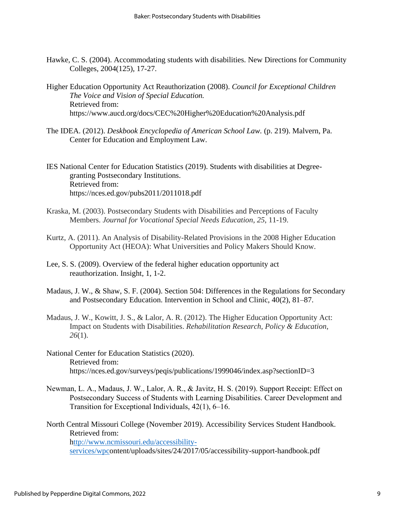- Hawke, C. S. (2004). Accommodating students with disabilities. New Directions for Community Colleges, 2004(125), 17-27.
- Higher Education Opportunity Act Reauthorization (2008). *Council for Exceptional Children The Voice and Vision of Special Education.* Retrieved from: https://www.aucd.org/docs/CEC%20Higher%20Education%20Analysis.pdf
- The IDEA. (2012). *Deskbook Encyclopedia of American School Law.* (p. 219). Malvern, Pa. Center for Education and Employment Law.

IES National Center for Education Statistics (2019). Students with disabilities at Degreegranting Postsecondary Institutions. Retrieved from: https://nces.ed.gov/pubs2011/2011018.pdf

- Kraska, M. (2003). Postsecondary Students with Disabilities and Perceptions of Faculty Members. *Journal for Vocational Special Needs Education*, *25*, 11-19.
- Kurtz, A. (2011). An Analysis of Disability-Related Provisions in the 2008 Higher Education Opportunity Act (HEOA): What Universities and Policy Makers Should Know.
- Lee, S. S. (2009). Overview of the federal higher education opportunity act reauthorization. Insight, 1, 1-2.
- Madaus, J. W., & Shaw, S. F. (2004). Section 504: Differences in the Regulations for Secondary and Postsecondary Education. Intervention in School and Clinic, 40(2), 81–87.
- Madaus, J. W., Kowitt, J. S., & Lalor, A. R. (2012). The Higher Education Opportunity Act: Impact on Students with Disabilities. *Rehabilitation Research, Policy & Education*, *26*(1).
- National Center for Education Statistics (2020). Retrieved from: https://nces.ed.gov/surveys/peqis/publications/1999046/index.asp?sectionID=3
- Newman, L. A., Madaus, J. W., Lalor, A. R., & Javitz, H. S. (2019). Support Receipt: Effect on Postsecondary Success of Students with Learning Disabilities. Career Development and Transition for Exceptional Individuals, 42(1), 6–16.

North Central Missouri College (November 2019). Accessibility Services Student Handbook. Retrieved from: [http://www.ncmissouri.edu/accessibility](ttp://www.ncmissouri.edu/accessibility-services/wp-c)[services/wpco](ttp://www.ncmissouri.edu/accessibility-services/wp-c)ntent/uploads/sites/24/2017/05/accessibility-support-handbook.pdf